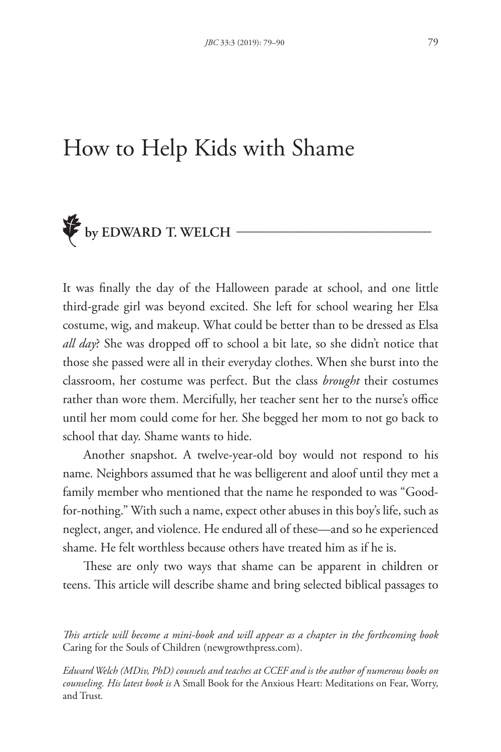# How to Help Kids with Shame



It was finally the day of the Halloween parade at school, and one little third-grade girl was beyond excited. She left for school wearing her Elsa costume, wig, and makeup. What could be better than to be dressed as Elsa *all day*? She was dropped off to school a bit late, so she didn't notice that those she passed were all in their everyday clothes. When she burst into the classroom, her costume was perfect. But the class *brought* their costumes rather than wore them. Mercifully, her teacher sent her to the nurse's office until her mom could come for her. She begged her mom to not go back to school that day. Shame wants to hide.

Another snapshot. A twelve-year-old boy would not respond to his name. Neighbors assumed that he was belligerent and aloof until they met a family member who mentioned that the name he responded to was "Goodfor-nothing." With such a name, expect other abuses in this boy's life, such as neglect, anger, and violence. He endured all of these—and so he experienced shame. He felt worthless because others have treated him as if he is.

These are only two ways that shame can be apparent in children or teens. This article will describe shame and bring selected biblical passages to

*This article will become a mini-book and will appear as a chapter in the forthcoming book*  Caring for the Souls of Children (newgrowthpress.com).

*Edward Welch (MDiv, PhD) counsels and teaches at CCEF and is the author of numerous books on counseling. His latest book is* A Small Book for the Anxious Heart: Meditations on Fear, Worry, and Trust*.*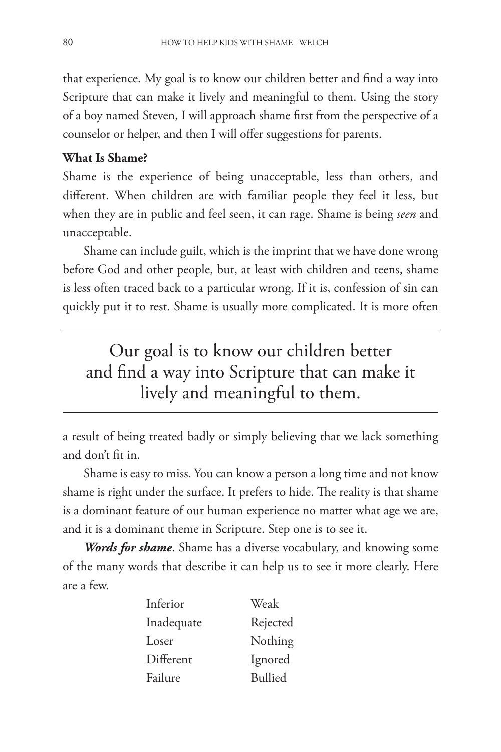that experience. My goal is to know our children better and find a way into Scripture that can make it lively and meaningful to them. Using the story of a boy named Steven, I will approach shame first from the perspective of a counselor or helper, and then I will offer suggestions for parents.

#### **What Is Shame?**

Shame is the experience of being unacceptable, less than others, and different. When children are with familiar people they feel it less, but when they are in public and feel seen, it can rage. Shame is being *seen* and unacceptable.

Shame can include guilt, which is the imprint that we have done wrong before God and other people, but, at least with children and teens, shame is less often traced back to a particular wrong. If it is, confession of sin can quickly put it to rest. Shame is usually more complicated. It is more often

Our goal is to know our children better and find a way into Scripture that can make it lively and meaningful to them.

a result of being treated badly or simply believing that we lack something and don't fit in.

Shame is easy to miss. You can know a person a long time and not know shame is right under the surface. It prefers to hide. The reality is that shame is a dominant feature of our human experience no matter what age we are, and it is a dominant theme in Scripture. Step one is to see it.

*Words for shame*. Shame has a diverse vocabulary, and knowing some of the many words that describe it can help us to see it more clearly. Here are a few.

| Inferior   | Weak           |
|------------|----------------|
| Inadequate | Rejected       |
| Loser      | Nothing        |
| Different  | Ignored        |
| Failure    | <b>Bullied</b> |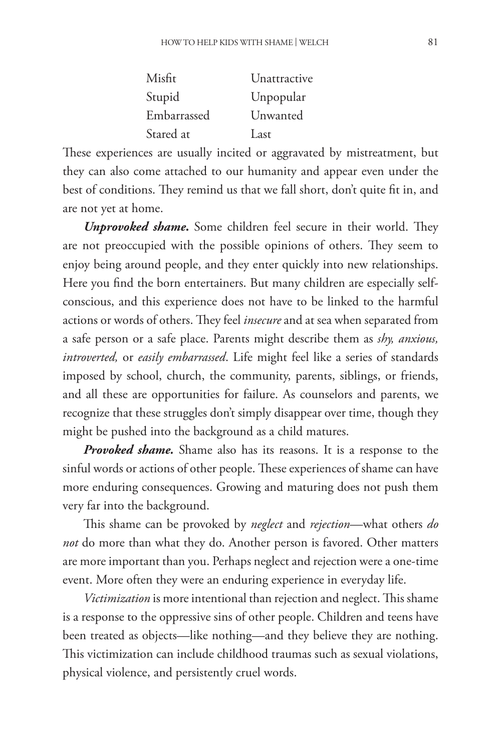| Misfit      | Unattractive |
|-------------|--------------|
| Stupid      | Unpopular    |
| Embarrassed | Unwanted     |
| Stared at   | Last         |

These experiences are usually incited or aggravated by mistreatment, but they can also come attached to our humanity and appear even under the best of conditions. They remind us that we fall short, don't quite fit in, and are not yet at home.

*Unprovoked shame***.** Some children feel secure in their world. They are not preoccupied with the possible opinions of others. They seem to enjoy being around people, and they enter quickly into new relationships. Here you find the born entertainers. But many children are especially selfconscious, and this experience does not have to be linked to the harmful actions or words of others. They feel *insecure* and at sea when separated from a safe person or a safe place. Parents might describe them as *shy, anxious, introverted,* or *easily embarrassed*. Life might feel like a series of standards imposed by school, church, the community, parents, siblings, or friends, and all these are opportunities for failure. As counselors and parents, we recognize that these struggles don't simply disappear over time, though they might be pushed into the background as a child matures.

*Provoked shame.* Shame also has its reasons. It is a response to the sinful words or actions of other people. These experiences of shame can have more enduring consequences. Growing and maturing does not push them very far into the background.

This shame can be provoked by *neglect* and *rejection*—what others *do not* do more than what they do. Another person is favored. Other matters are more important than you. Perhaps neglect and rejection were a one-time event. More often they were an enduring experience in everyday life.

*Victimization* is more intentional than rejection and neglect. This shame is a response to the oppressive sins of other people. Children and teens have been treated as objects—like nothing—and they believe they are nothing. This victimization can include childhood traumas such as sexual violations, physical violence, and persistently cruel words.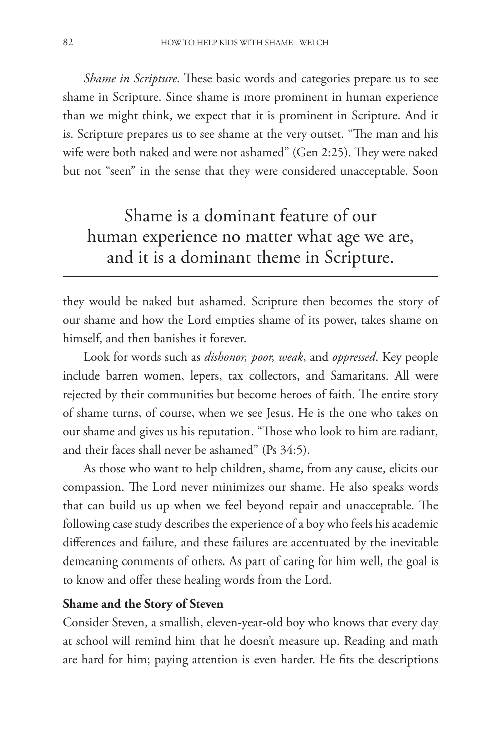*Shame in Scripture*. These basic words and categories prepare us to see shame in Scripture. Since shame is more prominent in human experience than we might think, we expect that it is prominent in Scripture. And it is. Scripture prepares us to see shame at the very outset. "The man and his wife were both naked and were not ashamed" (Gen 2:25). They were naked but not "seen" in the sense that they were considered unacceptable. Soon

## Shame is a dominant feature of our human experience no matter what age we are, and it is a dominant theme in Scripture.

they would be naked but ashamed. Scripture then becomes the story of our shame and how the Lord empties shame of its power, takes shame on himself, and then banishes it forever.

Look for words such as *dishonor, poor, weak*, and *oppressed*. Key people include barren women, lepers, tax collectors, and Samaritans. All were rejected by their communities but become heroes of faith. The entire story of shame turns, of course, when we see Jesus. He is the one who takes on our shame and gives us his reputation. "Those who look to him are radiant, and their faces shall never be ashamed" (Ps 34:5).

As those who want to help children, shame, from any cause, elicits our compassion. The Lord never minimizes our shame. He also speaks words that can build us up when we feel beyond repair and unacceptable. The following case study describes the experience of a boy who feels his academic differences and failure, and these failures are accentuated by the inevitable demeaning comments of others. As part of caring for him well, the goal is to know and offer these healing words from the Lord.

#### **Shame and the Story of Steven**

Consider Steven, a smallish, eleven-year-old boy who knows that every day at school will remind him that he doesn't measure up. Reading and math are hard for him; paying attention is even harder. He fits the descriptions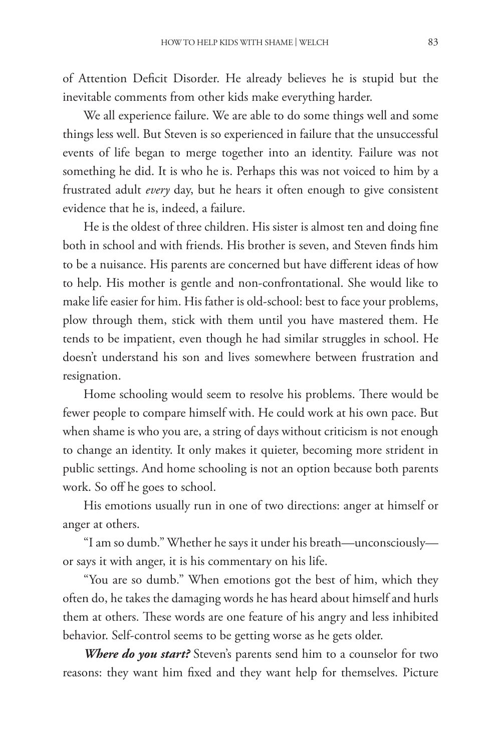of Attention Deficit Disorder. He already believes he is stupid but the inevitable comments from other kids make everything harder.

We all experience failure. We are able to do some things well and some things less well. But Steven is so experienced in failure that the unsuccessful events of life began to merge together into an identity. Failure was not something he did. It is who he is. Perhaps this was not voiced to him by a frustrated adult *every* day, but he hears it often enough to give consistent evidence that he is, indeed, a failure.

He is the oldest of three children. His sister is almost ten and doing fine both in school and with friends. His brother is seven, and Steven finds him to be a nuisance. His parents are concerned but have different ideas of how to help. His mother is gentle and non-confrontational. She would like to make life easier for him. His father is old-school: best to face your problems, plow through them, stick with them until you have mastered them. He tends to be impatient, even though he had similar struggles in school. He doesn't understand his son and lives somewhere between frustration and resignation.

Home schooling would seem to resolve his problems. There would be fewer people to compare himself with. He could work at his own pace. But when shame is who you are, a string of days without criticism is not enough to change an identity. It only makes it quieter, becoming more strident in public settings. And home schooling is not an option because both parents work. So off he goes to school.

His emotions usually run in one of two directions: anger at himself or anger at others.

"I am so dumb." Whether he says it under his breath—unconsciously or says it with anger, it is his commentary on his life.

"You are so dumb." When emotions got the best of him, which they often do, he takes the damaging words he has heard about himself and hurls them at others. These words are one feature of his angry and less inhibited behavior. Self-control seems to be getting worse as he gets older.

*Where do you start?* Steven's parents send him to a counselor for two reasons: they want him fixed and they want help for themselves. Picture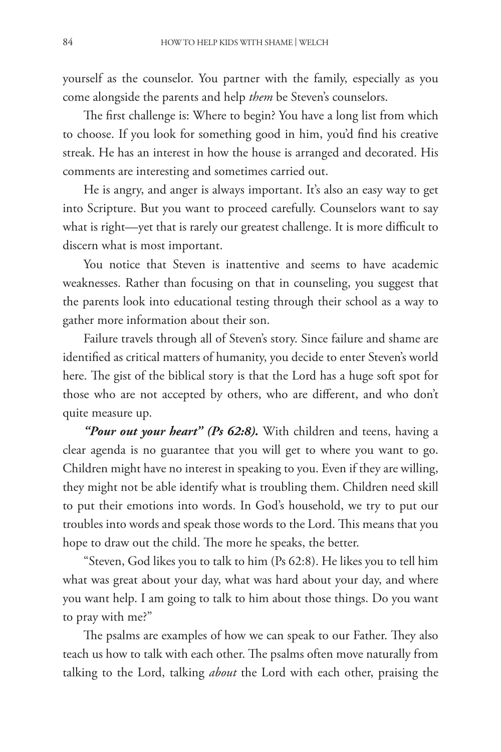yourself as the counselor. You partner with the family, especially as you come alongside the parents and help *them* be Steven's counselors.

The first challenge is: Where to begin? You have a long list from which to choose. If you look for something good in him, you'd find his creative streak. He has an interest in how the house is arranged and decorated. His comments are interesting and sometimes carried out.

He is angry, and anger is always important. It's also an easy way to get into Scripture. But you want to proceed carefully. Counselors want to say what is right—yet that is rarely our greatest challenge. It is more difficult to discern what is most important.

You notice that Steven is inattentive and seems to have academic weaknesses. Rather than focusing on that in counseling, you suggest that the parents look into educational testing through their school as a way to gather more information about their son.

Failure travels through all of Steven's story. Since failure and shame are identified as critical matters of humanity, you decide to enter Steven's world here. The gist of the biblical story is that the Lord has a huge soft spot for those who are not accepted by others, who are different, and who don't quite measure up.

*"Pour out your heart" (Ps 62:8).* With children and teens, having a clear agenda is no guarantee that you will get to where you want to go. Children might have no interest in speaking to you. Even if they are willing, they might not be able identify what is troubling them. Children need skill to put their emotions into words. In God's household, we try to put our troubles into words and speak those words to the Lord. This means that you hope to draw out the child. The more he speaks, the better.

"Steven, God likes you to talk to him (Ps 62:8). He likes you to tell him what was great about your day, what was hard about your day, and where you want help. I am going to talk to him about those things. Do you want to pray with me?"

The psalms are examples of how we can speak to our Father. They also teach us how to talk with each other. The psalms often move naturally from talking to the Lord, talking *about* the Lord with each other, praising the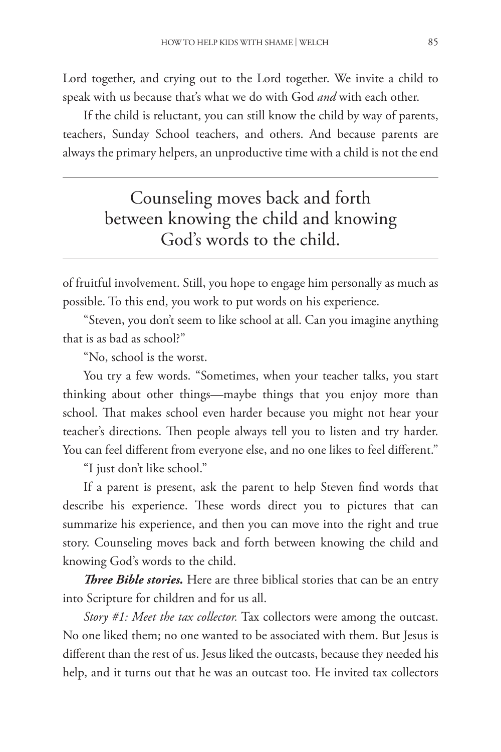Lord together, and crying out to the Lord together. We invite a child to speak with us because that's what we do with God *and* with each other.

If the child is reluctant, you can still know the child by way of parents, teachers, Sunday School teachers, and others. And because parents are always the primary helpers, an unproductive time with a child is not the end

## Counseling moves back and forth between knowing the child and knowing God's words to the child.

of fruitful involvement. Still, you hope to engage him personally as much as possible. To this end, you work to put words on his experience.

"Steven, you don't seem to like school at all. Can you imagine anything that is as bad as school?"

"No, school is the worst.

You try a few words. "Sometimes, when your teacher talks, you start thinking about other things—maybe things that you enjoy more than school. That makes school even harder because you might not hear your teacher's directions. Then people always tell you to listen and try harder. You can feel different from everyone else, and no one likes to feel different."

"I just don't like school."

If a parent is present, ask the parent to help Steven find words that describe his experience. These words direct you to pictures that can summarize his experience, and then you can move into the right and true story. Counseling moves back and forth between knowing the child and knowing God's words to the child.

*Three Bible stories.* Here are three biblical stories that can be an entry into Scripture for children and for us all.

*Story #1: Meet the tax collector.* Tax collectors were among the outcast. No one liked them; no one wanted to be associated with them. But Jesus is different than the rest of us. Jesus liked the outcasts, because they needed his help, and it turns out that he was an outcast too. He invited tax collectors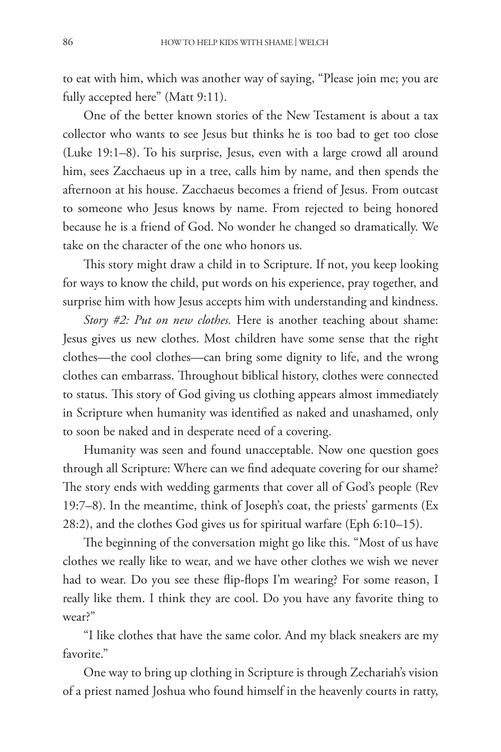to eat with him, which was another way of saying, "Please join me; you are fully accepted here" (Matt 9:11).

One of the better known stories of the New Testament is about a tax collector who wants to see Jesus but thinks he is too bad to get too close (Luke 19:1–8). To his surprise, Jesus, even with a large crowd all around him, sees Zacchaeus up in a tree, calls him by name, and then spends the afternoon at his house. Zacchaeus becomes a friend of Jesus. From outcast to someone who Jesus knows by name. From rejected to being honored because he is a friend of God. No wonder he changed so dramatically. We take on the character of the one who honors us.

This story might draw a child in to Scripture. If not, you keep looking for ways to know the child, put words on his experience, pray together, and surprise him with how Jesus accepts him with understanding and kindness.

*Story #2: Put on new clothes.* Here is another teaching about shame: Jesus gives us new clothes. Most children have some sense that the right clothes—the cool clothes—can bring some dignity to life, and the wrong clothes can embarrass. Throughout biblical history, clothes were connected to status. This story of God giving us clothing appears almost immediately in Scripture when humanity was identified as naked and unashamed, only to soon be naked and in desperate need of a covering.

Humanity was seen and found unacceptable. Now one question goes through all Scripture: Where can we find adequate covering for our shame? The story ends with wedding garments that cover all of God's people (Rev 19:7–8). In the meantime, think of Joseph's coat, the priests' garments (Ex 28:2), and the clothes God gives us for spiritual warfare (Eph 6:10–15).

The beginning of the conversation might go like this. "Most of us have clothes we really like to wear, and we have other clothes we wish we never had to wear. Do you see these flip-flops I'm wearing? For some reason, I really like them. I think they are cool. Do you have any favorite thing to wear?"

"I like clothes that have the same color. And my black sneakers are my favorite."

One way to bring up clothing in Scripture is through Zechariah's vision of a priest named Joshua who found himself in the heavenly courts in ratty,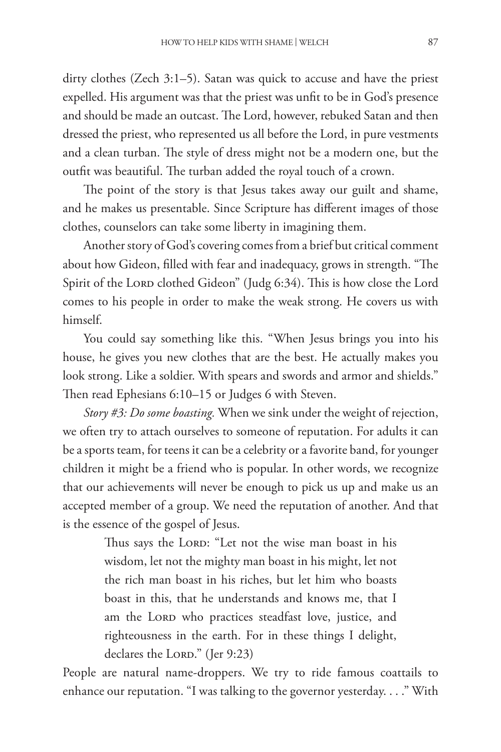dirty clothes (Zech 3:1–5). Satan was quick to accuse and have the priest expelled. His argument was that the priest was unfit to be in God's presence and should be made an outcast. The Lord, however, rebuked Satan and then dressed the priest, who represented us all before the Lord, in pure vestments and a clean turban. The style of dress might not be a modern one, but the outfit was beautiful. The turban added the royal touch of a crown.

The point of the story is that Jesus takes away our guilt and shame, and he makes us presentable. Since Scripture has different images of those clothes, counselors can take some liberty in imagining them.

Another story of God's covering comes from a brief but critical comment about how Gideon, filled with fear and inadequacy, grows in strength. "The Spirit of the Lord clothed Gideon" (Judg 6:34). This is how close the Lord comes to his people in order to make the weak strong. He covers us with himself.

You could say something like this. "When Jesus brings you into his house, he gives you new clothes that are the best. He actually makes you look strong. Like a soldier. With spears and swords and armor and shields." Then read Ephesians 6:10–15 or Judges 6 with Steven.

*Story #3: Do some boasting.* When we sink under the weight of rejection, we often try to attach ourselves to someone of reputation. For adults it can be a sports team, for teens it can be a celebrity or a favorite band, for younger children it might be a friend who is popular. In other words, we recognize that our achievements will never be enough to pick us up and make us an accepted member of a group. We need the reputation of another. And that is the essence of the gospel of Jesus.

> Thus says the LORD: "Let not the wise man boast in his wisdom, let not the mighty man boast in his might, let not the rich man boast in his riches, but let him who boasts boast in this, that he understands and knows me, that I am the Lord who practices steadfast love, justice, and righteousness in the earth. For in these things I delight, declares the LORD." (Jer 9:23)

People are natural name-droppers. We try to ride famous coattails to enhance our reputation. "I was talking to the governor yesterday. . . ." With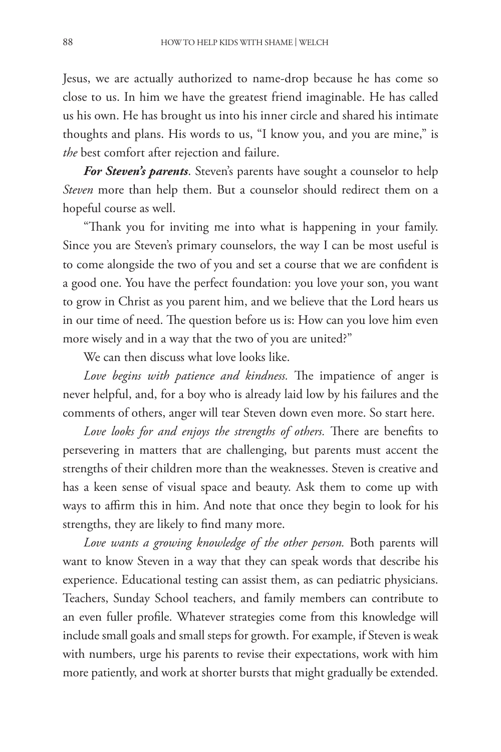Jesus, we are actually authorized to name-drop because he has come so close to us. In him we have the greatest friend imaginable. He has called us his own. He has brought us into his inner circle and shared his intimate thoughts and plans. His words to us, "I know you, and you are mine," is *the* best comfort after rejection and failure.

*For Steven's parents*. Steven's parents have sought a counselor to help *Steven* more than help them. But a counselor should redirect them on a hopeful course as well.

"Thank you for inviting me into what is happening in your family. Since you are Steven's primary counselors, the way I can be most useful is to come alongside the two of you and set a course that we are confident is a good one. You have the perfect foundation: you love your son, you want to grow in Christ as you parent him, and we believe that the Lord hears us in our time of need. The question before us is: How can you love him even more wisely and in a way that the two of you are united?"

We can then discuss what love looks like.

*Love begins with patience and kindness.* The impatience of anger is never helpful, and, for a boy who is already laid low by his failures and the comments of others, anger will tear Steven down even more. So start here.

*Love looks for and enjoys the strengths of others.* There are benefits to persevering in matters that are challenging, but parents must accent the strengths of their children more than the weaknesses. Steven is creative and has a keen sense of visual space and beauty. Ask them to come up with ways to affirm this in him. And note that once they begin to look for his strengths, they are likely to find many more.

*Love wants a growing knowledge of the other person.* Both parents will want to know Steven in a way that they can speak words that describe his experience. Educational testing can assist them, as can pediatric physicians. Teachers, Sunday School teachers, and family members can contribute to an even fuller profile. Whatever strategies come from this knowledge will include small goals and small steps for growth. For example, if Steven is weak with numbers, urge his parents to revise their expectations, work with him more patiently, and work at shorter bursts that might gradually be extended.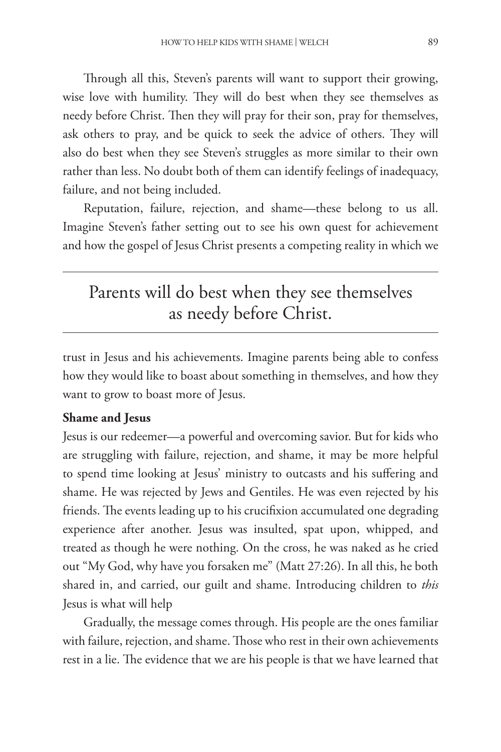Through all this, Steven's parents will want to support their growing, wise love with humility. They will do best when they see themselves as needy before Christ. Then they will pray for their son, pray for themselves, ask others to pray, and be quick to seek the advice of others. They will also do best when they see Steven's struggles as more similar to their own rather than less. No doubt both of them can identify feelings of inadequacy, failure, and not being included.

Reputation, failure, rejection, and shame—these belong to us all. Imagine Steven's father setting out to see his own quest for achievement and how the gospel of Jesus Christ presents a competing reality in which we

## Parents will do best when they see themselves as needy before Christ.

trust in Jesus and his achievements. Imagine parents being able to confess how they would like to boast about something in themselves, and how they want to grow to boast more of Jesus.

#### **Shame and Jesus**

Jesus is our redeemer—a powerful and overcoming savior. But for kids who are struggling with failure, rejection, and shame, it may be more helpful to spend time looking at Jesus' ministry to outcasts and his suffering and shame. He was rejected by Jews and Gentiles. He was even rejected by his friends. The events leading up to his crucifixion accumulated one degrading experience after another. Jesus was insulted, spat upon, whipped, and treated as though he were nothing. On the cross, he was naked as he cried out "My God, why have you forsaken me" (Matt 27:26). In all this, he both shared in, and carried, our guilt and shame. Introducing children to *this* Jesus is what will help

Gradually, the message comes through. His people are the ones familiar with failure, rejection, and shame. Those who rest in their own achievements rest in a lie. The evidence that we are his people is that we have learned that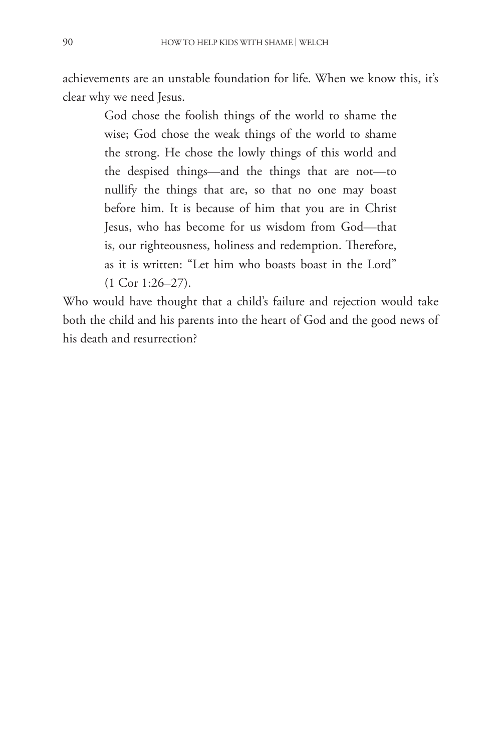achievements are an unstable foundation for life. When we know this, it's clear why we need Jesus.

> God chose the foolish things of the world to shame the wise; God chose the weak things of the world to shame the strong. He chose the lowly things of this world and the despised things—and the things that are not—to nullify the things that are, so that no one may boast before him. It is because of him that you are in Christ Jesus, who has become for us wisdom from God—that is, our righteousness, holiness and redemption. Therefore, as it is written: "Let him who boasts boast in the Lord" (1 Cor 1:26–27).

Who would have thought that a child's failure and rejection would take both the child and his parents into the heart of God and the good news of his death and resurrection?